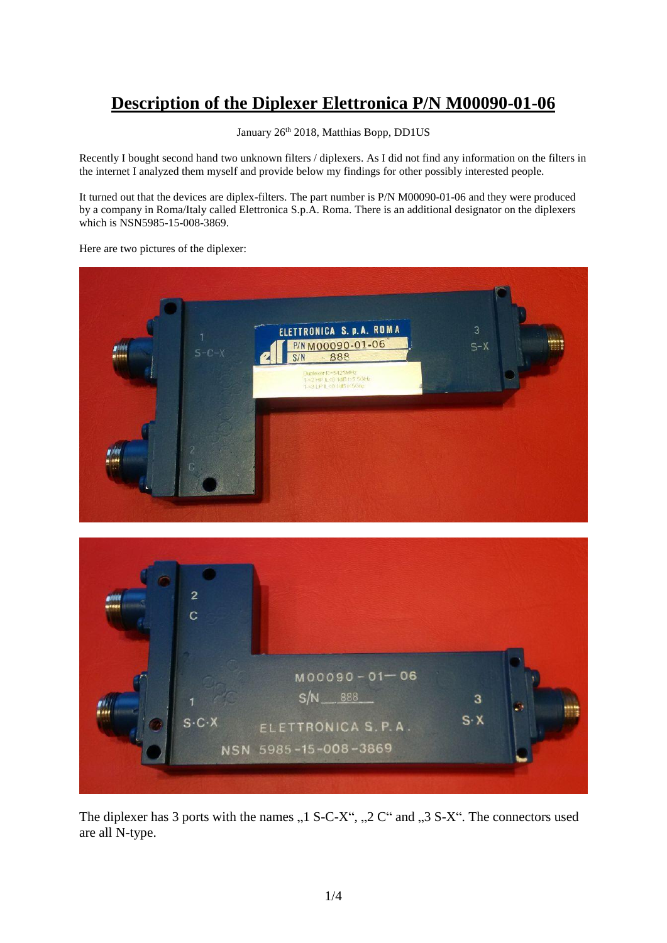## **Description of the Diplexer Elettronica P/N M00090-01-06**

January 26<sup>th</sup> 2018, Matthias Bopp, DD1US

Recently I bought second hand two unknown filters / diplexers. As I did not find any information on the filters in the internet I analyzed them myself and provide below my findings for other possibly interested people.

It turned out that the devices are diplex-filters. The part number is P/N M00090-01-06 and they were produced by a company in Roma/Italy called Elettronica S.p.A. Roma. There is an additional designator on the diplexers which is NSN5985-15-008-3869.

Here are two pictures of the diplexer:

| $S-C-X$             | ELETTRONICA S. p.A. ROMA<br>P/N M00090-01-06<br>888<br>S/N<br>Duplexer fc=5425MHz<br>1->2 HP IL-0 1dB t>5 5GHz<br>1->3 LP IL-0 1dB t-5Gmz | $\overline{3}$<br>$S-X$ |  |
|---------------------|-------------------------------------------------------------------------------------------------------------------------------------------|-------------------------|--|
| $\overline{2}$<br>С |                                                                                                                                           |                         |  |



The diplexer has 3 ports with the names  $, 1$  S-C-X",  $, 2$  C" and  $, 3$  S-X". The connectors used are all N-type.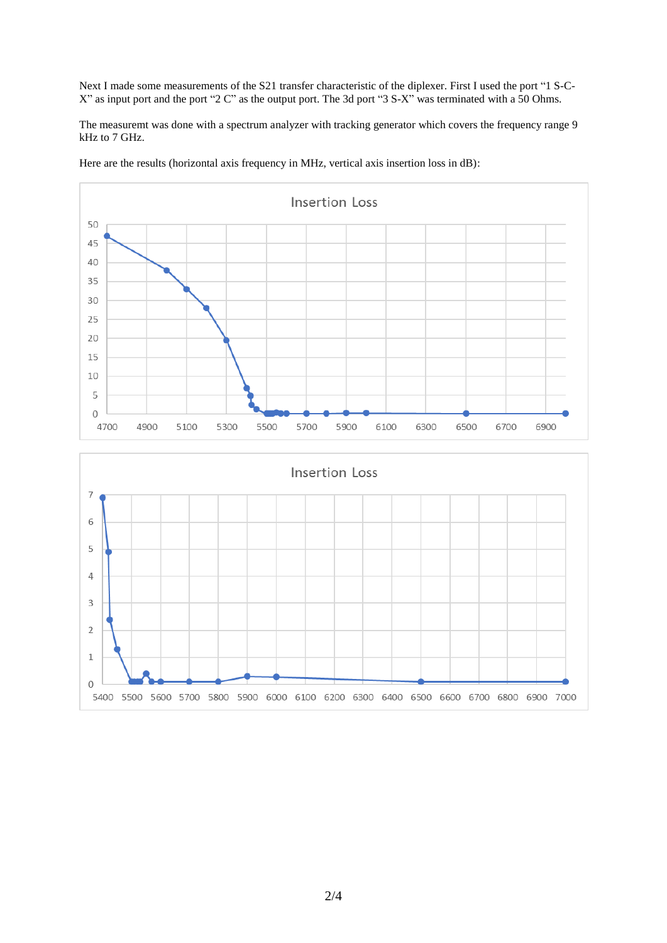Next I made some measurements of the S21 transfer characteristic of the diplexer. First I used the port "1 S-C-X" as input port and the port "2 C" as the output port. The 3d port "3 S-X" was terminated with a 50 Ohms.

The measuremt was done with a spectrum analyzer with tracking generator which covers the frequency range 9 kHz to 7 GHz.

Here are the results (horizontal axis frequency in MHz, vertical axis insertion loss in dB):



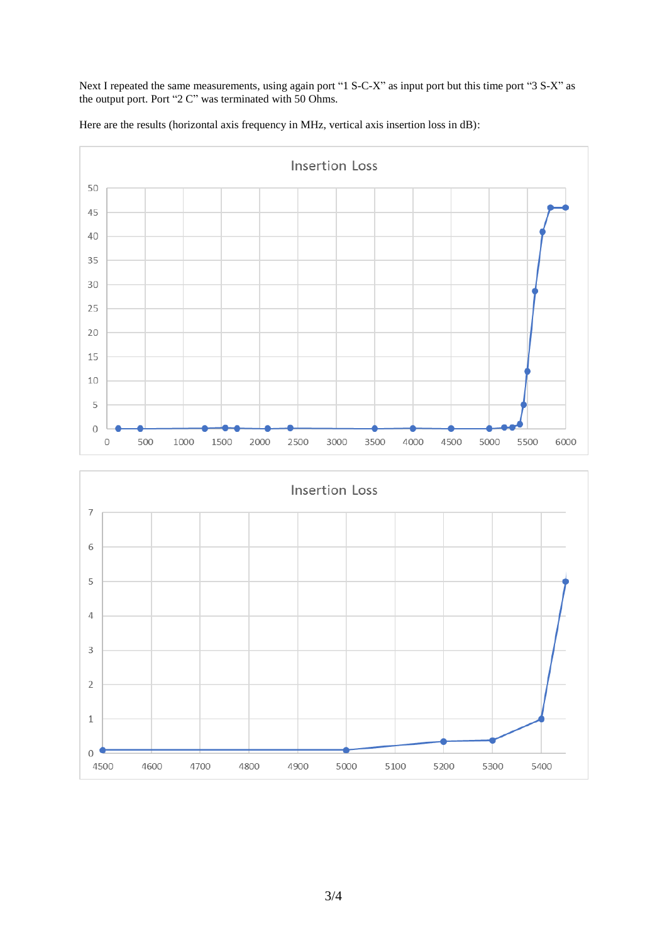Next I repeated the same measurements, using again port "1 S-C-X" as input port but this time port "3 S-X" as the output port. Port "2 C" was terminated with 50 Ohms.

Here are the results (horizontal axis frequency in MHz, vertical axis insertion loss in dB):